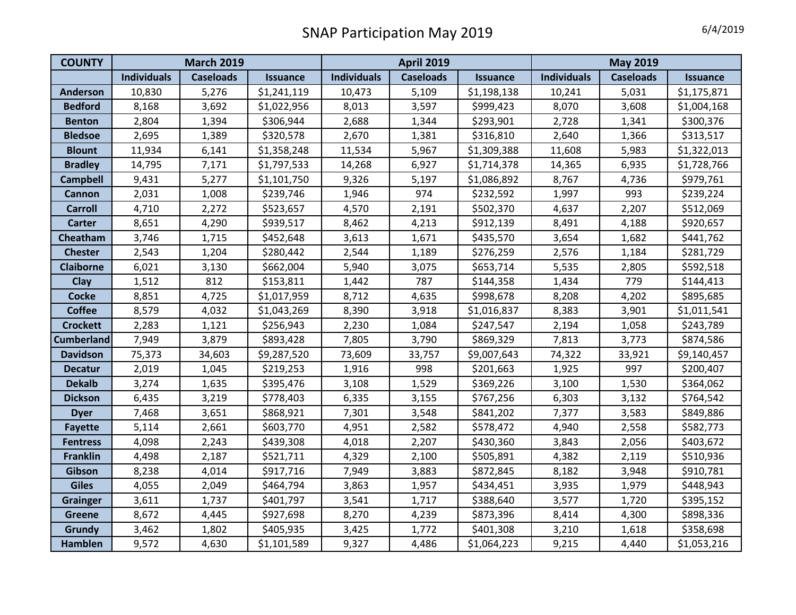| <b>COUNTY</b>     | <b>March 2019</b>  |                  |                 | <b>April 2019</b>  |                  |                 | <b>May 2019</b>    |                  |                 |
|-------------------|--------------------|------------------|-----------------|--------------------|------------------|-----------------|--------------------|------------------|-----------------|
|                   | <b>Individuals</b> | <b>Caseloads</b> | <b>Issuance</b> | <b>Individuals</b> | <b>Caseloads</b> | <b>Issuance</b> | <b>Individuals</b> | <b>Caseloads</b> | <b>Issuance</b> |
| <b>Anderson</b>   | 10,830             | 5,276            | \$1,241,119     | 10,473             | 5,109            | \$1,198,138     | 10,241             | 5,031            | \$1,175,871     |
| <b>Bedford</b>    | 8,168              | 3,692            | \$1,022,956     | 8,013              | 3,597            | \$999,423       | 8,070              | 3,608            | \$1,004,168     |
| <b>Benton</b>     | 2,804              | 1,394            | \$306,944       | 2,688              | 1,344            | \$293,901       | 2,728              | 1,341            | \$300,376       |
| <b>Bledsoe</b>    | 2,695              | 1,389            | \$320,578       | 2,670              | 1,381            | \$316,810       | 2,640              | 1,366            | \$313,517       |
| <b>Blount</b>     | 11,934             | 6,141            | \$1,358,248     | 11,534             | 5,967            | \$1,309,388     | 11,608             | 5,983            | \$1,322,013     |
| <b>Bradley</b>    | 14,795             | 7,171            | \$1,797,533     | 14,268             | 6,927            | \$1,714,378     | 14,365             | 6,935            | \$1,728,766     |
| <b>Campbell</b>   | 9,431              | 5,277            | \$1,101,750     | 9,326              | 5,197            | \$1,086,892     | 8,767              | 4,736            | \$979,761       |
| <b>Cannon</b>     | 2,031              | 1,008            | \$239,746       | 1,946              | 974              | \$232,592       | 1,997              | 993              | \$239,224       |
| <b>Carroll</b>    | 4,710              | 2,272            | \$523,657       | 4,570              | 2,191            | \$502,370       | 4,637              | 2,207            | \$512,069       |
| <b>Carter</b>     | 8,651              | 4,290            | \$939,517       | 8,462              | 4,213            | \$912,139       | 8,491              | 4,188            | \$920,657       |
| Cheatham          | 3,746              | 1,715            | \$452,648       | 3,613              | 1,671            | \$435,570       | 3,654              | 1,682            | \$441,762       |
| <b>Chester</b>    | 2,543              | 1,204            | \$280,442       | 2,544              | 1,189            | \$276,259       | 2,576              | 1,184            | \$281,729       |
| <b>Claiborne</b>  | 6,021              | 3,130            | \$662,004       | 5,940              | 3,075            | \$653,714       | 5,535              | 2,805            | \$592,518       |
| Clay              | 1,512              | 812              | \$153,811       | 1,442              | 787              | \$144,358       | 1,434              | 779              | \$144,413       |
| <b>Cocke</b>      | 8,851              | 4,725            | \$1,017,959     | 8,712              | 4,635            | \$998,678       | 8,208              | 4,202            | \$895,685       |
| <b>Coffee</b>     | 8,579              | 4,032            | \$1,043,269     | 8,390              | 3,918            | \$1,016,837     | 8,383              | 3,901            | \$1,011,541     |
| <b>Crockett</b>   | 2,283              | 1,121            | \$256,943       | 2,230              | 1,084            | \$247,547       | 2,194              | 1,058            | \$243,789       |
| <b>Cumberland</b> | 7,949              | 3,879            | \$893,428       | 7,805              | 3,790            | \$869,329       | 7,813              | 3,773            | \$874,586       |
| <b>Davidson</b>   | 75,373             | 34,603           | \$9,287,520     | 73,609             | 33,757           | \$9,007,643     | 74,322             | 33,921           | \$9,140,457     |
| <b>Decatur</b>    | 2,019              | 1,045            | \$219,253       | 1,916              | 998              | \$201,663       | 1,925              | 997              | \$200,407       |
| <b>Dekalb</b>     | 3,274              | 1,635            | \$395,476       | 3,108              | 1,529            | \$369,226       | 3,100              | 1,530            | \$364,062       |
| <b>Dickson</b>    | 6,435              | 3,219            | \$778,403       | 6,335              | 3,155            | \$767,256       | 6,303              | 3,132            | \$764,542       |
| <b>Dyer</b>       | 7,468              | 3,651            | \$868,921       | 7,301              | 3,548            | \$841,202       | 7,377              | 3,583            | \$849,886       |
| <b>Fayette</b>    | 5,114              | 2,661            | \$603,770       | 4,951              | 2,582            | \$578,472       | 4,940              | 2,558            | \$582,773       |
| <b>Fentress</b>   | 4,098              | 2,243            | \$439,308       | 4,018              | 2,207            | \$430,360       | 3,843              | 2,056            | \$403,672       |
| <b>Franklin</b>   | 4,498              | 2,187            | \$521,711       | 4,329              | 2,100            | \$505,891       | 4,382              | 2,119            | \$510,936       |
| Gibson            | 8,238              | 4,014            | \$917,716       | 7,949              | 3,883            | \$872,845       | 8,182              | 3,948            | \$910,781       |
| <b>Giles</b>      | 4,055              | 2,049            | \$464,794       | 3,863              | 1,957            | \$434,451       | 3,935              | 1,979            | \$448,943       |
| <b>Grainger</b>   | 3,611              | 1,737            | \$401,797       | 3,541              | 1,717            | \$388,640       | 3,577              | 1,720            | \$395,152       |
| <b>Greene</b>     | 8,672              | 4,445            | \$927,698       | 8,270              | 4,239            | \$873,396       | 8,414              | 4,300            | \$898,336       |
| <b>Grundy</b>     | 3,462              | 1,802            | \$405,935       | 3,425              | 1,772            | \$401,308       | 3,210              | 1,618            | \$358,698       |
| <b>Hamblen</b>    | 9,572              | 4,630            | \$1,101,589     | 9,327              | 4,486            | \$1,064,223     | 9,215              | 4,440            | \$1,053,216     |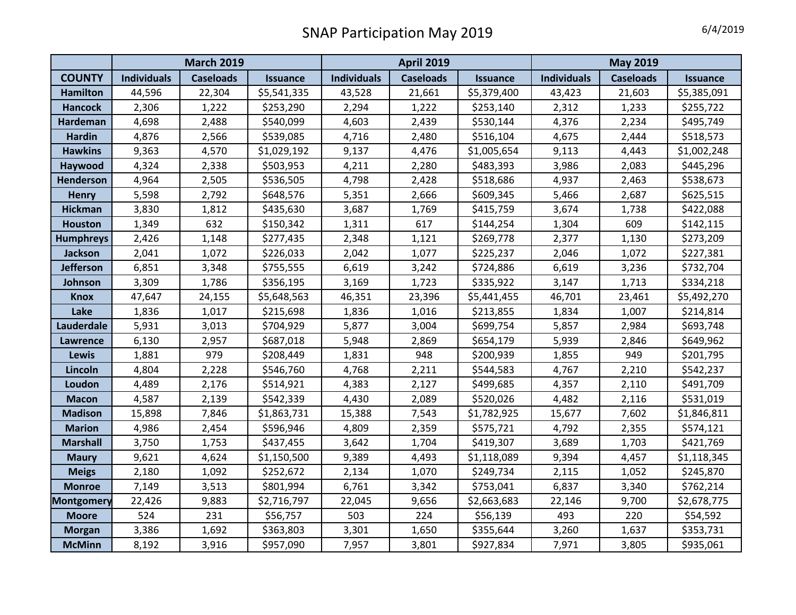|                   | <b>March 2019</b>  |                  |                 | <b>April 2019</b>  |                  |                 | <b>May 2019</b>    |                  |                 |
|-------------------|--------------------|------------------|-----------------|--------------------|------------------|-----------------|--------------------|------------------|-----------------|
| <b>COUNTY</b>     | <b>Individuals</b> | <b>Caseloads</b> | <b>Issuance</b> | <b>Individuals</b> | <b>Caseloads</b> | <b>Issuance</b> | <b>Individuals</b> | <b>Caseloads</b> | <b>Issuance</b> |
| <b>Hamilton</b>   | 44,596             | 22,304           | \$5,541,335     | 43,528             | 21,661           | \$5,379,400     | 43,423             | 21,603           | \$5,385,091     |
| <b>Hancock</b>    | 2,306              | 1,222            | \$253,290       | 2,294              | 1,222            | \$253,140       | 2,312              | 1,233            | \$255,722       |
| <b>Hardeman</b>   | 4,698              | 2,488            | \$540,099       | 4,603              | 2,439            | \$530,144       | 4,376              | 2,234            | \$495,749       |
| <b>Hardin</b>     | 4,876              | 2,566            | \$539,085       | 4,716              | 2,480            | \$516,104       | 4,675              | 2,444            | \$518,573       |
| <b>Hawkins</b>    | 9,363              | 4,570            | \$1,029,192     | 9,137              | 4,476            | \$1,005,654     | 9,113              | 4,443            | \$1,002,248     |
| Haywood           | 4,324              | 2,338            | \$503,953       | 4,211              | 2,280            | \$483,393       | 3,986              | 2,083            | \$445,296       |
| <b>Henderson</b>  | 4,964              | 2,505            | \$536,505       | 4,798              | 2,428            | \$518,686       | 4,937              | 2,463            | \$538,673       |
| <b>Henry</b>      | 5,598              | 2,792            | \$648,576       | 5,351              | 2,666            | \$609,345       | 5,466              | 2,687            | \$625,515       |
| <b>Hickman</b>    | 3,830              | 1,812            | \$435,630       | 3,687              | 1,769            | \$415,759       | 3,674              | 1,738            | \$422,088       |
| <b>Houston</b>    | 1,349              | 632              | \$150,342       | 1,311              | 617              | \$144,254       | 1,304              | 609              | \$142,115       |
| <b>Humphreys</b>  | 2,426              | 1,148            | \$277,435       | 2,348              | 1,121            | \$269,778       | 2,377              | 1,130            | \$273,209       |
| <b>Jackson</b>    | 2,041              | 1,072            | \$226,033       | 2,042              | 1,077            | \$225,237       | 2,046              | 1,072            | \$227,381       |
| <b>Jefferson</b>  | 6,851              | 3,348            | \$755,555       | 6,619              | 3,242            | \$724,886       | 6,619              | 3,236            | \$732,704       |
| Johnson           | 3,309              | 1,786            | \$356,195       | 3,169              | 1,723            | \$335,922       | 3,147              | 1,713            | \$334,218       |
| <b>Knox</b>       | 47,647             | 24,155           | \$5,648,563     | 46,351             | 23,396           | \$5,441,455     | 46,701             | 23,461           | \$5,492,270     |
| Lake              | 1,836              | 1,017            | \$215,698       | 1,836              | 1,016            | \$213,855       | 1,834              | 1,007            | \$214,814       |
| Lauderdale        | 5,931              | 3,013            | \$704,929       | 5,877              | 3,004            | \$699,754       | 5,857              | 2,984            | \$693,748       |
| Lawrence          | 6,130              | 2,957            | \$687,018       | 5,948              | 2,869            | \$654,179       | 5,939              | 2,846            | \$649,962       |
| <b>Lewis</b>      | 1,881              | 979              | \$208,449       | 1,831              | 948              | \$200,939       | 1,855              | 949              | \$201,795       |
| Lincoln           | 4,804              | 2,228            | \$546,760       | 4,768              | 2,211            | \$544,583       | 4,767              | 2,210            | \$542,237       |
| Loudon            | 4,489              | 2,176            | \$514,921       | 4,383              | 2,127            | \$499,685       | 4,357              | 2,110            | \$491,709       |
| <b>Macon</b>      | 4,587              | 2,139            | \$542,339       | 4,430              | 2,089            | \$520,026       | 4,482              | 2,116            | \$531,019       |
| <b>Madison</b>    | 15,898             | 7,846            | \$1,863,731     | 15,388             | 7,543            | \$1,782,925     | 15,677             | 7,602            | \$1,846,811     |
| <b>Marion</b>     | 4,986              | 2,454            | \$596,946       | 4,809              | 2,359            | \$575,721       | 4,792              | 2,355            | \$574,121       |
| <b>Marshall</b>   | 3,750              | 1,753            | \$437,455       | 3,642              | 1,704            | \$419,307       | 3,689              | 1,703            | \$421,769       |
| <b>Maury</b>      | 9,621              | 4,624            | \$1,150,500     | 9,389              | 4,493            | \$1,118,089     | 9,394              | 4,457            | \$1,118,345     |
| <b>Meigs</b>      | 2,180              | 1,092            | \$252,672       | 2,134              | 1,070            | \$249,734       | 2,115              | 1,052            | \$245,870       |
| <b>Monroe</b>     | 7,149              | 3,513            | \$801,994       | 6,761              | 3,342            | \$753,041       | 6,837              | 3,340            | \$762,214       |
| <b>Montgomery</b> | 22,426             | 9,883            | \$2,716,797     | 22,045             | 9,656            | \$2,663,683     | 22,146             | 9,700            | \$2,678,775     |
| <b>Moore</b>      | 524                | 231              | \$56,757        | 503                | 224              | \$56,139        | 493                | 220              | \$54,592        |
| <b>Morgan</b>     | 3,386              | 1,692            | \$363,803       | 3,301              | 1,650            | \$355,644       | 3,260              | 1,637            | \$353,731       |
| <b>McMinn</b>     | 8,192              | 3,916            | \$957,090       | 7,957              | 3,801            | \$927,834       | 7,971              | 3,805            | \$935,061       |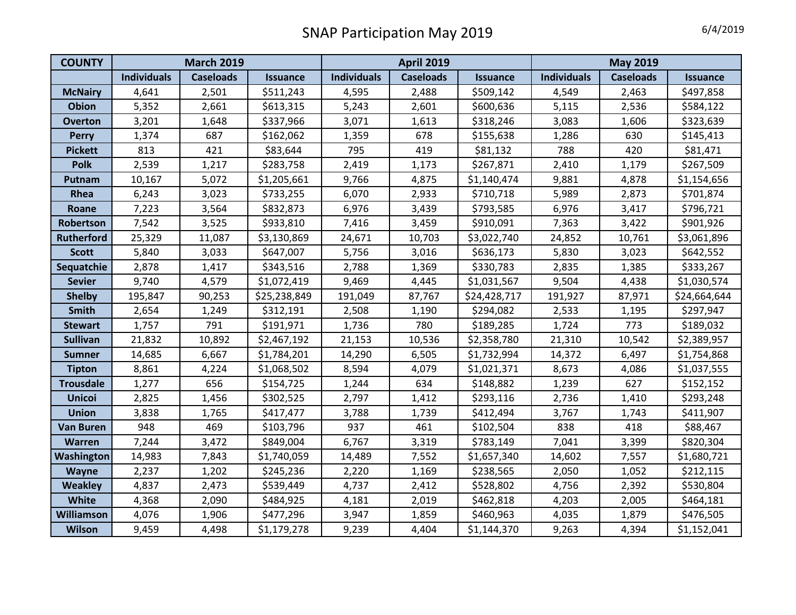| <b>COUNTY</b>     | <b>March 2019</b>  |                  |                 | <b>April 2019</b>  |                  |                 | <b>May 2019</b>    |                  |                 |
|-------------------|--------------------|------------------|-----------------|--------------------|------------------|-----------------|--------------------|------------------|-----------------|
|                   | <b>Individuals</b> | <b>Caseloads</b> | <b>Issuance</b> | <b>Individuals</b> | <b>Caseloads</b> | <b>Issuance</b> | <b>Individuals</b> | <b>Caseloads</b> | <b>Issuance</b> |
| <b>McNairy</b>    | 4,641              | 2,501            | \$511,243       | 4,595              | 2,488            | \$509,142       | 4,549              | 2,463            | \$497,858       |
| <b>Obion</b>      | 5,352              | 2,661            | \$613,315       | 5,243              | 2,601            | \$600,636       | 5,115              | 2,536            | \$584,122       |
| <b>Overton</b>    | 3,201              | 1,648            | \$337,966       | 3,071              | 1,613            | \$318,246       | 3,083              | 1,606            | \$323,639       |
| <b>Perry</b>      | 1,374              | 687              | \$162,062       | 1,359              | 678              | \$155,638       | 1,286              | 630              | \$145,413       |
| <b>Pickett</b>    | 813                | 421              | \$83,644        | 795                | 419              | \$81,132        | 788                | 420              | \$81,471        |
| <b>Polk</b>       | 2,539              | 1,217            | \$283,758       | 2,419              | 1,173            | \$267,871       | 2,410              | 1,179            | \$267,509       |
| Putnam            | 10,167             | 5,072            | \$1,205,661     | 9,766              | 4,875            | \$1,140,474     | 9,881              | 4,878            | \$1,154,656     |
| Rhea              | 6,243              | 3,023            | \$733,255       | 6,070              | 2,933            | \$710,718       | 5,989              | 2,873            | \$701,874       |
| Roane             | 7,223              | 3,564            | \$832,873       | 6,976              | 3,439            | \$793,585       | 6,976              | 3,417            | \$796,721       |
| Robertson         | 7,542              | 3,525            | \$933,810       | 7,416              | 3,459            | \$910,091       | 7,363              | 3,422            | \$901,926       |
| <b>Rutherford</b> | 25,329             | 11,087           | \$3,130,869     | 24,671             | 10,703           | \$3,022,740     | 24,852             | 10,761           | \$3,061,896     |
| <b>Scott</b>      | 5,840              | 3,033            | \$647,007       | 5,756              | 3,016            | \$636,173       | 5,830              | 3,023            | \$642,552       |
| Sequatchie        | 2,878              | 1,417            | \$343,516       | 2,788              | 1,369            | \$330,783       | 2,835              | 1,385            | \$333,267       |
| <b>Sevier</b>     | 9,740              | 4,579            | \$1,072,419     | 9,469              | 4,445            | \$1,031,567     | 9,504              | 4,438            | \$1,030,574     |
| <b>Shelby</b>     | 195,847            | 90,253           | \$25,238,849    | 191,049            | 87,767           | \$24,428,717    | 191,927            | 87,971           | \$24,664,644    |
| Smith             | 2,654              | 1,249            | \$312,191       | 2,508              | 1,190            | \$294,082       | 2,533              | 1,195            | \$297,947       |
| <b>Stewart</b>    | 1,757              | 791              | \$191,971       | 1,736              | 780              | \$189,285       | 1,724              | 773              | \$189,032       |
| <b>Sullivan</b>   | 21,832             | 10,892           | \$2,467,192     | 21,153             | 10,536           | \$2,358,780     | 21,310             | 10,542           | \$2,389,957     |
| <b>Sumner</b>     | 14,685             | 6,667            | \$1,784,201     | 14,290             | 6,505            | \$1,732,994     | 14,372             | 6,497            | \$1,754,868     |
| <b>Tipton</b>     | 8,861              | 4,224            | \$1,068,502     | 8,594              | 4,079            | \$1,021,371     | 8,673              | 4,086            | \$1,037,555     |
| <b>Trousdale</b>  | 1,277              | 656              | \$154,725       | 1,244              | 634              | \$148,882       | 1,239              | 627              | \$152,152       |
| <b>Unicoi</b>     | 2,825              | 1,456            | \$302,525       | 2,797              | 1,412            | \$293,116       | 2,736              | 1,410            | \$293,248       |
| <b>Union</b>      | 3,838              | 1,765            | \$417,477       | 3,788              | 1,739            | \$412,494       | 3,767              | 1,743            | \$411,907       |
| <b>Van Buren</b>  | 948                | 469              | \$103,796       | 937                | 461              | \$102,504       | 838                | 418              | \$88,467        |
| <b>Warren</b>     | 7,244              | 3,472            | \$849,004       | 6,767              | 3,319            | \$783,149       | 7,041              | 3,399            | \$820,304       |
| Washington        | 14,983             | 7,843            | \$1,740,059     | 14,489             | 7,552            | \$1,657,340     | 14,602             | 7,557            | \$1,680,721     |
| Wayne             | 2,237              | 1,202            | \$245,236       | 2,220              | 1,169            | \$238,565       | 2,050              | 1,052            | \$212,115       |
| <b>Weakley</b>    | 4,837              | 2,473            | \$539,449       | 4,737              | 2,412            | \$528,802       | 4,756              | 2,392            | \$530,804       |
| White             | 4,368              | 2,090            | \$484,925       | 4,181              | 2,019            | \$462,818       | 4,203              | 2,005            | \$464,181       |
| Williamson        | 4,076              | 1,906            | \$477,296       | 3,947              | 1,859            | \$460,963       | 4,035              | 1,879            | \$476,505       |
| <b>Wilson</b>     | 9,459              | 4,498            | \$1,179,278     | 9,239              | 4,404            | \$1,144,370     | 9,263              | 4,394            | \$1,152,041     |